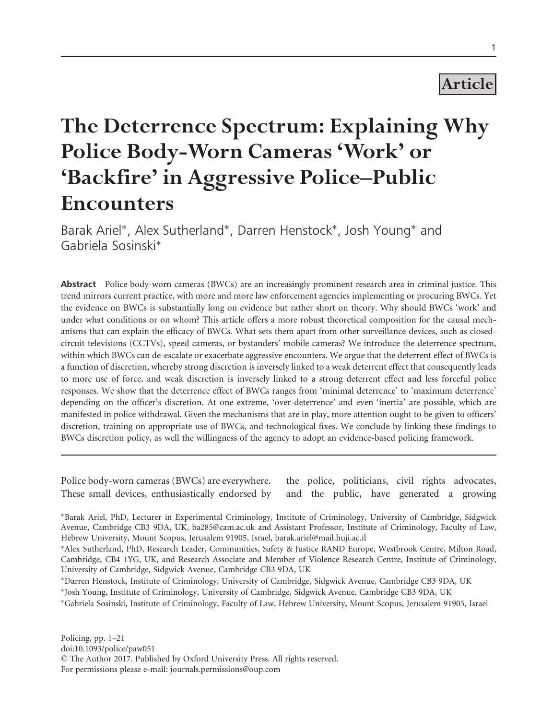# Article

# The Deterrence Spectrum: Explaining Why Police Body-Worn Cameras 'Work' or 'Backfire' in Aggressive Police–Public Encounters

Barak Ariel\*, Alex Sutherland\*, Darren Henstock\*, Josh Young\* and Gabriela Sosinski\*

Abstract Police body-worn cameras (BWCs) are an increasingly prominent research area in criminal justice. This trend mirrors current practice, with more and more law enforcement agencies implementing or procuring BWCs. Yet the evidence on BWCs is substantially long on evidence but rather short on theory. Why should BWCs 'work' and under what conditions or on whom? This article offers a more robust theoretical composition for the causal mechanisms that can explain the efficacy of BWCs. What sets them apart from other surveillance devices, such as closedcircuit televisions (CCTVs), speed cameras, or bystanders' mobile cameras? We introduce the deterrence spectrum, within which BWCs can de-escalate or exacerbate aggressive encounters. We argue that the deterrent effect of BWCs is a function of discretion, whereby strong discretion is inversely linked to a weak deterrent effect that consequently leads to more use of force, and weak discretion is inversely linked to a strong deterrent effect and less forceful police responses. We show that the deterrence effect of BWCs ranges from 'minimal deterrence' to 'maximum deterrence' depending on the officer's discretion. At one extreme, 'over-deterrence' and even 'inertia' are possible, which are manifested in police withdrawal. Given the mechanisms that are in play, more attention ought to be given to officers' discretion, training on appropriate use of BWCs, and technological fixes. We conclude by linking these findings to BWCs discretion policy, as well the willingness of the agency to adopt an evidence-based policing framework.

Police body-worn cameras (BWCs) are everywhere. These small devices, enthusiastically endorsed by the police, politicians, civil rights advocates, and the public, have generated a growing

-Josh Young, Institute of Criminology, University of Cambridge, Sidgwick Avenue, Cambridge CB3 9DA, UK

-Gabriela Sosinski, Institute of Criminology, Faculty of Law, Hebrew University, Mount Scopus, Jerusalem 91905, Israel

Policing, pp. 1–21 doi:10.1093/police/paw051 - The Author 2017. Published by Oxford University Press. All rights reserved. For permissions please e-mail: journals.permissions@oup.com

<sup>-</sup>Barak Ariel, PhD, Lecturer in Experimental Criminology, Institute of Criminology, University of Cambridge, Sidgwick Avenue, Cambridge CB3 9DA, UK, ba285@cam.ac.uk and Assistant Professor, Institute of Criminology, Faculty of Law, Hebrew University, Mount Scopus, Jerusalem 91905, Israel, barak.ariel@mail.huji.ac.il

<sup>-</sup>Alex Sutherland, PhD, Research Leader, Communities, Safety & Justice RAND Europe, Westbrook Centre, Milton Road, Cambridge, CB4 1YG, UK, and Research Associate and Member of Violence Research Centre, Institute of Criminology, University of Cambridge, Sidgwick Avenue, Cambridge CB3 9DA, UK

<sup>-</sup>Darren Henstock, Institute of Criminology, University of Cambridge, Sidgwick Avenue, Cambridge CB3 9DA, UK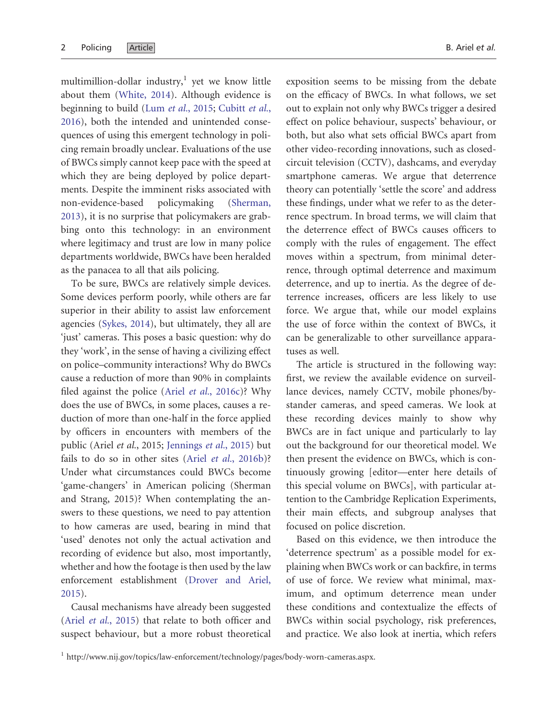multimillion-dollar industry, $\frac{1}{1}$  yet we know little about them ([White, 2014](#page-20-0)). Although evidence is beginning to build (Lum et al.[, 2015;](#page-18-0) [Cubitt](#page-17-0) et al., [2016](#page-17-0)), both the intended and unintended consequences of using this emergent technology in policing remain broadly unclear. Evaluations of the use of BWCs simply cannot keep pace with the speed at which they are being deployed by police departments. Despite the imminent risks associated with non-evidence-based policymaking [\(Sherman,](#page-19-0) [2013](#page-19-0)), it is no surprise that policymakers are grabbing onto this technology: in an environment where legitimacy and trust are low in many police departments worldwide, BWCs have been heralded as the panacea to all that ails policing.

To be sure, BWCs are relatively simple devices. Some devices perform poorly, while others are far superior in their ability to assist law enforcement agencies ([Sykes, 2014](#page-19-0)), but ultimately, they all are 'just' cameras. This poses a basic question: why do they 'work', in the sense of having a civilizing effect on police–community interactions? Why do BWCs cause a reduction of more than 90% in complaints filed against the police (Ariel et al.[, 2016c](#page-17-0))? Why does the use of BWCs, in some places, causes a reduction of more than one-half in the force applied by officers in encounters with members of the public (Ariel et al., 2015; [Jennings](#page-18-0) et al., 2015) but fails to do so in other sites (Ariel et al.[, 2016b](#page-17-0))? Under what circumstances could BWCs become 'game-changers' in American policing (Sherman and Strang, 2015)? When contemplating the answers to these questions, we need to pay attention to how cameras are used, bearing in mind that 'used' denotes not only the actual activation and recording of evidence but also, most importantly, whether and how the footage is then used by the law enforcement establishment ([Drover and Ariel,](#page-17-0) [2015](#page-17-0)).

Causal mechanisms have already been suggested (Ariel et al.[, 2015](#page-17-0)) that relate to both officer and suspect behaviour, but a more robust theoretical exposition seems to be missing from the debate on the efficacy of BWCs. In what follows, we set out to explain not only why BWCs trigger a desired effect on police behaviour, suspects' behaviour, or both, but also what sets official BWCs apart from other video-recording innovations, such as closedcircuit television (CCTV), dashcams, and everyday smartphone cameras. We argue that deterrence theory can potentially 'settle the score' and address these findings, under what we refer to as the deterrence spectrum. In broad terms, we will claim that the deterrence effect of BWCs causes officers to comply with the rules of engagement. The effect moves within a spectrum, from minimal deterrence, through optimal deterrence and maximum deterrence, and up to inertia. As the degree of deterrence increases, officers are less likely to use force. We argue that, while our model explains the use of force within the context of BWCs, it can be generalizable to other surveillance apparatuses as well.

The article is structured in the following way: first, we review the available evidence on surveillance devices, namely CCTV, mobile phones/bystander cameras, and speed cameras. We look at these recording devices mainly to show why BWCs are in fact unique and particularly to lay out the background for our theoretical model. We then present the evidence on BWCs, which is continuously growing [editor—enter here details of this special volume on BWCs], with particular attention to the Cambridge Replication Experiments, their main effects, and subgroup analyses that focused on police discretion.

Based on this evidence, we then introduce the 'deterrence spectrum' as a possible model for explaining when BWCs work or can backfire, in terms of use of force. We review what minimal, maximum, and optimum deterrence mean under these conditions and contextualize the effects of BWCs within social psychology, risk preferences, and practice. We also look at inertia, which refers

<sup>1</sup> [http://www.nij.gov/topics/law-enforcement/technology/pages/body-worn-cameras.aspx.](http://www.nij.gov/topics/law-enforcement/technology/pages/body-worn-cameras.aspx)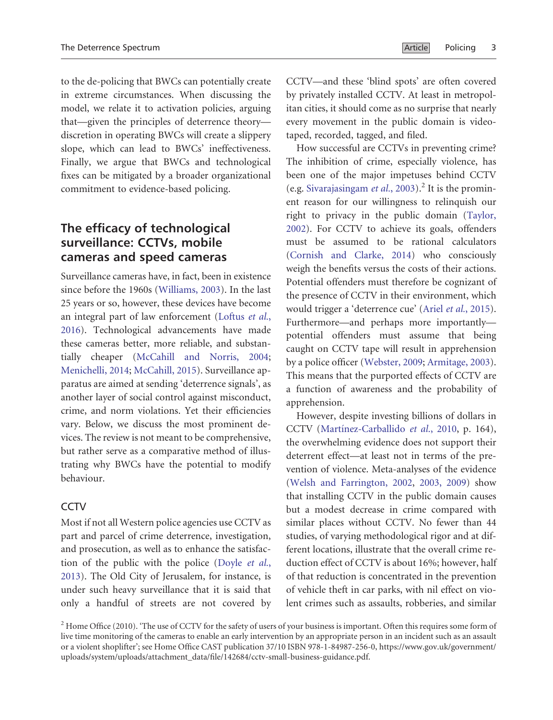to the de-policing that BWCs can potentially create in extreme circumstances. When discussing the model, we relate it to activation policies, arguing that—given the principles of deterrence theory discretion in operating BWCs will create a slippery slope, which can lead to BWCs' ineffectiveness. Finally, we argue that BWCs and technological fixes can be mitigated by a broader organizational commitment to evidence-based policing.

# The efficacy of technological surveillance: CCTVs, mobile cameras and speed cameras

Surveillance cameras have, in fact, been in existence since before the 1960s ([Williams, 2003\)](#page-20-0). In the last 25 years or so, however, these devices have become an integral part of law enforcement ([Loftus](#page-18-0) et al., [2016](#page-18-0)). Technological advancements have made these cameras better, more reliable, and substantially cheaper [\(McCahill and Norris, 2004](#page-18-0); [Menichelli, 2014](#page-18-0); [McCahill, 2015](#page-18-0)). Surveillance apparatus are aimed at sending 'deterrence signals', as another layer of social control against misconduct, crime, and norm violations. Yet their efficiencies vary. Below, we discuss the most prominent devices. The review is not meant to be comprehensive, but rather serve as a comparative method of illustrating why BWCs have the potential to modify behaviour.

## **CCTV**

Most if not all Western police agencies use CCTV as part and parcel of crime deterrence, investigation, and prosecution, as well as to enhance the satisfaction of the public with the police [\(Doyle](#page-17-0) et al., [2013](#page-17-0)). The Old City of Jerusalem, for instance, is under such heavy surveillance that it is said that only a handful of streets are not covered by CCTV—and these 'blind spots' are often covered by privately installed CCTV. At least in metropolitan cities, it should come as no surprise that nearly every movement in the public domain is videotaped, recorded, tagged, and filed.

How successful are CCTVs in preventing crime? The inhibition of crime, especially violence, has been one of the major impetuses behind CCTV (e.g. [Sivarajasingam](#page-19-0) *et al.*[, 2003](#page-19-0)).<sup>2</sup> It is the prominent reason for our willingness to relinquish our right to privacy in the public domain [\(Taylor,](#page-19-0) [2002](#page-19-0)). For CCTV to achieve its goals, offenders must be assumed to be rational calculators [\(Cornish and Clarke, 2014\)](#page-17-0) who consciously weigh the benefits versus the costs of their actions. Potential offenders must therefore be cognizant of the presence of CCTV in their environment, which would trigger a 'deterrence cue' (Ariel et al.[, 2015\)](#page-17-0). Furthermore—and perhaps more importantly potential offenders must assume that being caught on CCTV tape will result in apprehension by a police officer ([Webster, 2009;](#page-19-0) [Armitage, 2003\)](#page-17-0). This means that the purported effects of CCTV are a function of awareness and the probability of apprehension.

However, despite investing billions of dollars in CCTV (Martínez-Carballido et al., 2010, p. 164), the overwhelming evidence does not support their deterrent effect—at least not in terms of the prevention of violence. Meta-analyses of the evidence [\(Welsh and Farrington, 2002,](#page-19-0) [2003, 2009\)](#page-19-0) show that installing CCTV in the public domain causes but a modest decrease in crime compared with similar places without CCTV. No fewer than 44 studies, of varying methodological rigor and at different locations, illustrate that the overall crime reduction effect of CCTV is about 16%; however, half of that reduction is concentrated in the prevention of vehicle theft in car parks, with nil effect on violent crimes such as assaults, robberies, and similar

 $2$  Home Office (2010). 'The use of CCTV for the safety of users of your business is important. Often this requires some form of live time monitoring of the cameras to enable an early intervention by an appropriate person in an incident such as an assault or a violent shoplifter'; see Home Office CAST publication 37/10 ISBN 978-1-84987-256-0, [https://www.gov.uk/government/](https://www.gov.uk/government/uploads/system/uploads/attachment_data/file/142684/cctv-small-business-guidance.pdf) [uploads/system/uploads/attachment\\_data/file/142684/cctv-small-business-guidance.pdf.](https://www.gov.uk/government/uploads/system/uploads/attachment_data/file/142684/cctv-small-business-guidance.pdf)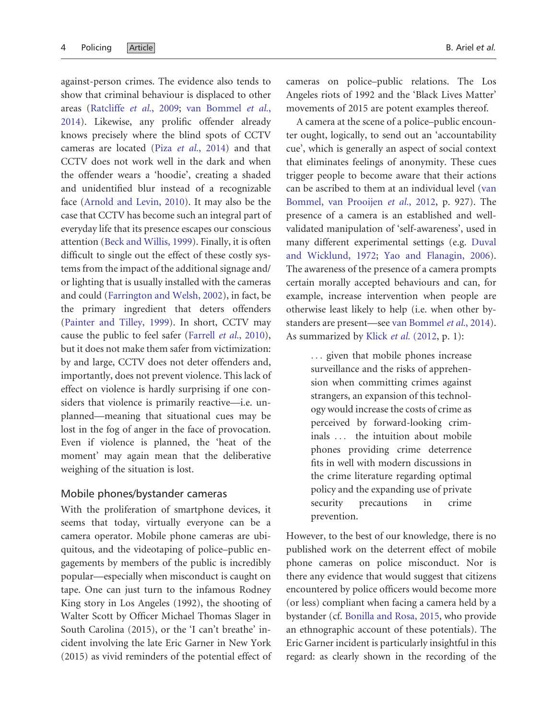against-person crimes. The evidence also tends to show that criminal behaviour is displaced to other areas ([Ratcliffe](#page-19-0) et al., 2009; [van Bommel](#page-19-0) et al., [2014](#page-19-0)). Likewise, any prolific offender already knows precisely where the blind spots of CCTV cameras are located (Piza et al.[, 2014\)](#page-19-0) and that CCTV does not work well in the dark and when the offender wears a 'hoodie', creating a shaded and unidentified blur instead of a recognizable face ([Arnold and Levin, 2010\)](#page-17-0). It may also be the case that CCTV has become such an integral part of everyday life that its presence escapes our conscious attention [\(Beck and Willis, 1999](#page-17-0)). Finally, it is often difficult to single out the effect of these costly systems from the impact of the additional signage and/ or lighting that is usually installed with the cameras and could ([Farrington and Welsh, 2002\)](#page-18-0), in fact, be the primary ingredient that deters offenders ([Painter and Tilley, 1999\)](#page-19-0). In short, CCTV may cause the public to feel safer ([Farrell](#page-18-0) et al., 2010), but it does not make them safer from victimization: by and large, CCTV does not deter offenders and, importantly, does not prevent violence. This lack of effect on violence is hardly surprising if one considers that violence is primarily reactive—i.e. unplanned—meaning that situational cues may be lost in the fog of anger in the face of provocation. Even if violence is planned, the 'heat of the moment' may again mean that the deliberative weighing of the situation is lost.

#### Mobile phones/bystander cameras

With the proliferation of smartphone devices, it seems that today, virtually everyone can be a camera operator. Mobile phone cameras are ubiquitous, and the videotaping of police–public engagements by members of the public is incredibly popular—especially when misconduct is caught on tape. One can just turn to the infamous Rodney King story in Los Angeles (1992), the shooting of Walter Scott by Officer Michael Thomas Slager in South Carolina (2015), or the 'I can't breathe' incident involving the late Eric Garner in New York (2015) as vivid reminders of the potential effect of cameras on police–public relations. The Los Angeles riots of 1992 and the 'Black Lives Matter' movements of 2015 are potent examples thereof.

A camera at the scene of a police–public encounter ought, logically, to send out an 'accountability cue', which is generally an aspect of social context that eliminates feelings of anonymity. These cues trigger people to become aware that their actions can be ascribed to them at an individual level ([van](#page-19-0) [Bommel, van Prooijen](#page-19-0) et al., 2012, p. 927). The presence of a camera is an established and wellvalidated manipulation of 'self-awareness', used in many different experimental settings (e.g. [Duval](#page-17-0) [and Wicklund, 1972](#page-17-0); [Yao and Flanagin, 2006\)](#page-20-0). The awareness of the presence of a camera prompts certain morally accepted behaviours and can, for example, increase intervention when people are otherwise least likely to help (i.e. when other bystanders are present—see [van Bommel](#page-19-0) et al., 2014). As summarized by Klick et al. [\(2012](#page-18-0), p. 1):

> ... given that mobile phones increase surveillance and the risks of apprehension when committing crimes against strangers, an expansion of this technology would increase the costs of crime as perceived by forward-looking criminals ... the intuition about mobile phones providing crime deterrence fits in well with modern discussions in the crime literature regarding optimal policy and the expanding use of private security precautions in crime prevention.

However, to the best of our knowledge, there is no published work on the deterrent effect of mobile phone cameras on police misconduct. Nor is there any evidence that would suggest that citizens encountered by police officers would become more (or less) compliant when facing a camera held by a bystander (cf. [Bonilla and Rosa, 2015,](#page-17-0) who provide an ethnographic account of these potentials). The Eric Garner incident is particularly insightful in this regard: as clearly shown in the recording of the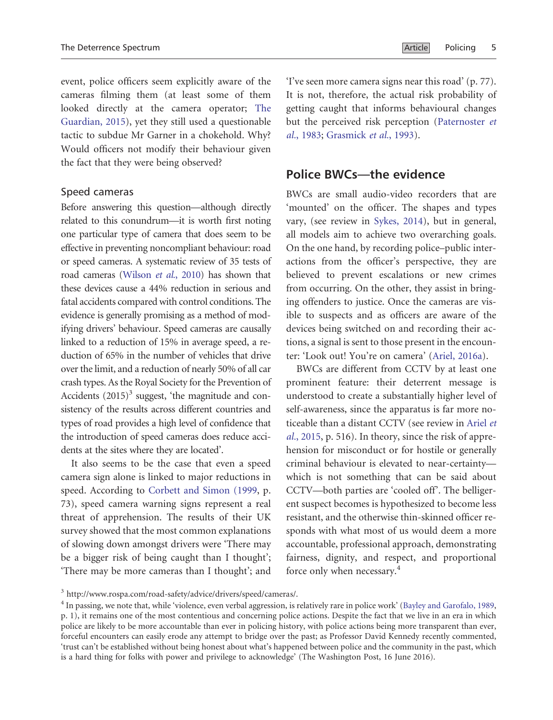event, police officers seem explicitly aware of the cameras filming them (at least some of them looked directly at the camera operator; [The](#page-19-0) [Guardian, 2015\)](#page-19-0), yet they still used a questionable tactic to subdue Mr Garner in a chokehold. Why? Would officers not modify their behaviour given the fact that they were being observed?

#### Speed cameras

Before answering this question—although directly related to this conundrum—it is worth first noting one particular type of camera that does seem to be effective in preventing noncompliant behaviour: road or speed cameras. A systematic review of 35 tests of road cameras [\(Wilson](#page-20-0) et al., 2010) has shown that these devices cause a 44% reduction in serious and fatal accidents compared with control conditions. The evidence is generally promising as a method of modifying drivers' behaviour. Speed cameras are causally linked to a reduction of 15% in average speed, a reduction of 65% in the number of vehicles that drive over the limit, and a reduction of nearly 50% of all car crash types. As the Royal Society for the Prevention of Accidents  $(2015)^3$  suggest, 'the magnitude and consistency of the results across different countries and types of road provides a high level of confidence that the introduction of speed cameras does reduce accidents at the sites where they are located'.

It also seems to be the case that even a speed camera sign alone is linked to major reductions in speed. According to [Corbett and Simon \(1999](#page-17-0), p. 73), speed camera warning signs represent a real threat of apprehension. The results of their UK survey showed that the most common explanations of slowing down amongst drivers were 'There may be a bigger risk of being caught than I thought'; 'There may be more cameras than I thought'; and

'I've seen more camera signs near this road' (p. 77). It is not, therefore, the actual risk probability of getting caught that informs behavioural changes but the perceived risk perception [\(Paternoster](#page-19-0) et al.[, 1983](#page-19-0); [Grasmick](#page-18-0) et al., 1993).

## Police BWCs—the evidence

BWCs are small audio-video recorders that are 'mounted' on the officer. The shapes and types vary, (see review in [Sykes, 2014\)](#page-19-0), but in general, all models aim to achieve two overarching goals. On the one hand, by recording police–public interactions from the officer's perspective, they are believed to prevent escalations or new crimes from occurring. On the other, they assist in bringing offenders to justice. Once the cameras are visible to suspects and as officers are aware of the devices being switched on and recording their actions, a signal is sent to those present in the encounter: 'Look out! You're on camera' [\(Ariel, 2016a](#page-17-0)).

BWCs are different from CCTV by at least one prominent feature: their deterrent message is understood to create a substantially higher level of self-awareness, since the apparatus is far more noticeable than a distant CCTV (see review in [Ariel](#page-17-0) et al.[, 2015,](#page-17-0) p. 516). In theory, since the risk of apprehension for misconduct or for hostile or generally criminal behaviour is elevated to near-certainty which is not something that can be said about CCTV—both parties are 'cooled off'. The belligerent suspect becomes is hypothesized to become less resistant, and the otherwise thin-skinned officer responds with what most of us would deem a more accountable, professional approach, demonstrating fairness, dignity, and respect, and proportional force only when necessary.<sup>4</sup>

<sup>3</sup> [http://www.rospa.com/road-safety/advice/drivers/speed/cameras/.](http://www.rospa.com/road-safety/advice/drivers/speed/cameras/)

<sup>4</sup> In passing, we note that, while 'violence, even verbal aggression, is relatively rare in police work' ([Bayley and Garofalo, 1989,](#page-17-0) p. 1), it remains one of the most contentious and concerning police actions. Despite the fact that we live in an era in which police are likely to be more accountable than ever in policing history, with police actions being more transparent than ever, forceful encounters can easily erode any attempt to bridge over the past; as Professor David Kennedy recently commented, 'trust can't be established without being honest about what's happened between police and the community in the past, which is a hard thing for folks with power and privilege to acknowledge' (The Washington Post, 16 June 2016).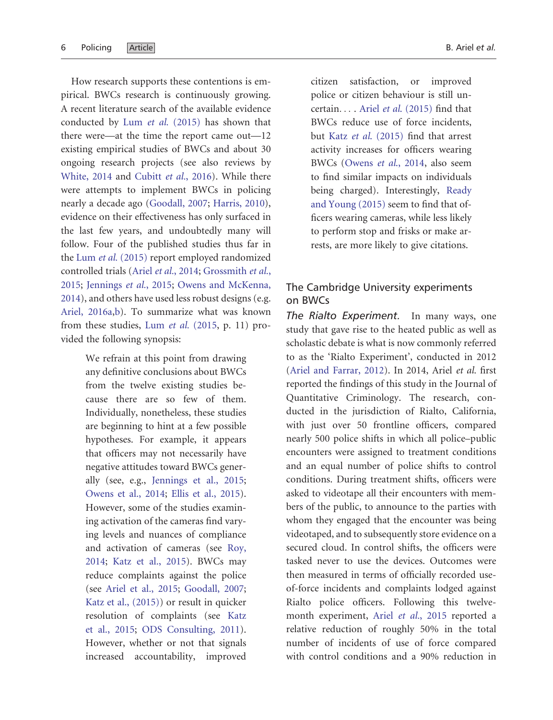How research supports these contentions is empirical. BWCs research is continuously growing. A recent literature search of the available evidence conducted by Lum et al. [\(2015\)](#page-18-0) has shown that there were—at the time the report came out—12 existing empirical studies of BWCs and about 30 ongoing research projects (see also reviews by [White, 2014](#page-20-0) and [Cubitt](#page-17-0) et al., 2016). While there were attempts to implement BWCs in policing nearly a decade ago ([Goodall, 2007](#page-18-0); [Harris, 2010](#page-18-0)), evidence on their effectiveness has only surfaced in the last few years, and undoubtedly many will follow. Four of the published studies thus far in the Lum et al. [\(2015\)](#page-18-0) report employed randomized controlled trials (Ariel et al.[, 2014](#page-17-0); [Grossmith](#page-18-0) et al., [2015](#page-18-0); [Jennings](#page-18-0) et al., 2015; [Owens and McKenna,](#page-18-0) [2014](#page-18-0)), and others have used less robust designs (e.g. [Ariel, 2016a,b](#page-17-0)). To summarize what was known from these studies, Lum et al. [\(2015](#page-18-0), p. 11) provided the following synopsis:

> We refrain at this point from drawing any definitive conclusions about BWCs from the twelve existing studies because there are so few of them. Individually, nonetheless, these studies are beginning to hint at a few possible hypotheses. For example, it appears that officers may not necessarily have negative attitudes toward BWCs generally (see, e.g., [Jennings et al., 2015](#page-18-0); [Owens et al., 2014;](#page-18-0) [Ellis et al., 2015\)](#page-17-0). However, some of the studies examining activation of the cameras find varying levels and nuances of compliance and activation of cameras (see [Roy,](#page-19-0) [2014;](#page-19-0) [Katz et al., 2015](#page-18-0)). BWCs may reduce complaints against the police (see [Ariel et al., 2015](#page-17-0); [Goodall, 2007](#page-18-0); [Katz et al., \(2015\)\)](#page-18-0) or result in quicker resolution of complaints (see [Katz](#page-18-0) [et al., 2015](#page-18-0); [ODS Consulting, 2011\)](#page-18-0). However, whether or not that signals increased accountability, improved

citizen satisfaction, or improved police or citizen behaviour is still uncertain... . Ariel et al[. \(2015\)](#page-17-0) find that BWCs reduce use of force incidents, but Katz et al[. \(2015\)](#page-18-0) find that arrest activity increases for officers wearing BWCs [\(Owens](#page-18-0) et al., 2014, also seem to find similar impacts on individuals being charged). Interestingly, [Ready](#page-19-0) [and Young \(2015\)](#page-19-0) seem to find that officers wearing cameras, while less likely to perform stop and frisks or make arrests, are more likely to give citations.

## The Cambridge University experiments on BWCs

The Rialto Experiment. In many ways, one study that gave rise to the heated public as well as scholastic debate is what is now commonly referred to as the 'Rialto Experiment', conducted in 2012 [\(Ariel and Farrar, 2012](#page-17-0)). In 2014, Ariel et al. first reported the findings of this study in the Journal of Quantitative Criminology. The research, conducted in the jurisdiction of Rialto, California, with just over 50 frontline officers, compared nearly 500 police shifts in which all police–public encounters were assigned to treatment conditions and an equal number of police shifts to control conditions. During treatment shifts, officers were asked to videotape all their encounters with members of the public, to announce to the parties with whom they engaged that the encounter was being videotaped, and to subsequently store evidence on a secured cloud. In control shifts, the officers were tasked never to use the devices. Outcomes were then measured in terms of officially recorded useof-force incidents and complaints lodged against Rialto police officers. Following this twelvemonth experiment, Ariel et al.[, 2015](#page-17-0) reported a relative reduction of roughly 50% in the total number of incidents of use of force compared with control conditions and a 90% reduction in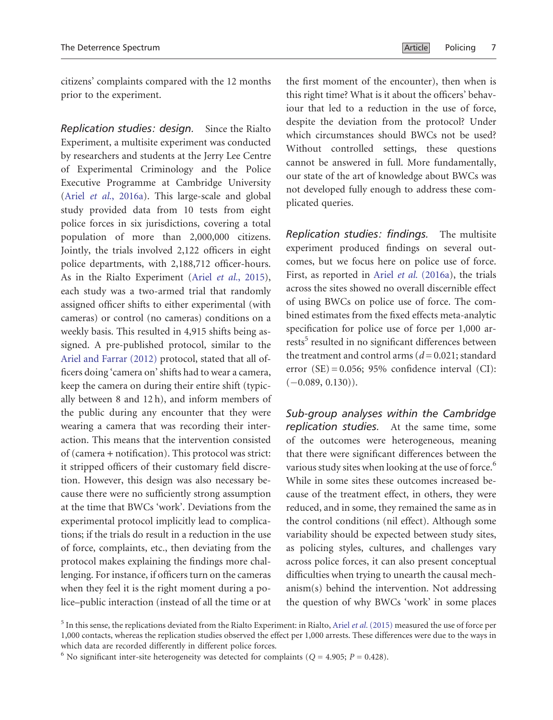citizens' complaints compared with the 12 months prior to the experiment.

Replication studies: design. Since the Rialto Experiment, a multisite experiment was conducted by researchers and students at the Jerry Lee Centre of Experimental Criminology and the Police Executive Programme at Cambridge University (Ariel et al.[, 2016a\)](#page-17-0). This large-scale and global study provided data from 10 tests from eight police forces in six jurisdictions, covering a total population of more than 2,000,000 citizens. Jointly, the trials involved 2,122 officers in eight police departments, with 2,188,712 officer-hours. As in the Rialto Experiment (Ariel et al.[, 2015](#page-17-0)), each study was a two-armed trial that randomly assigned officer shifts to either experimental (with cameras) or control (no cameras) conditions on a weekly basis. This resulted in 4,915 shifts being assigned. A pre-published protocol, similar to the [Ariel and Farrar \(2012\)](#page-17-0) protocol, stated that all officers doing 'camera on' shifts had to wear a camera, keep the camera on during their entire shift (typically between 8 and 12 h), and inform members of the public during any encounter that they were wearing a camera that was recording their interaction. This means that the intervention consisted of (camera +notification). This protocol was strict: it stripped officers of their customary field discretion. However, this design was also necessary because there were no sufficiently strong assumption at the time that BWCs 'work'. Deviations from the experimental protocol implicitly lead to complications; if the trials do result in a reduction in the use of force, complaints, etc., then deviating from the protocol makes explaining the findings more challenging. For instance, if officers turn on the cameras when they feel it is the right moment during a police–public interaction (instead of all the time or at the first moment of the encounter), then when is this right time? What is it about the officers' behaviour that led to a reduction in the use of force, despite the deviation from the protocol? Under which circumstances should BWCs not be used? Without controlled settings, these questions cannot be answered in full. More fundamentally, our state of the art of knowledge about BWCs was not developed fully enough to address these complicated queries.

Replication studies: findings. The multisite experiment produced findings on several outcomes, but we focus here on police use of force. First, as reported in Ariel et al. [\(2016a\)](#page-17-0), the trials across the sites showed no overall discernible effect of using BWCs on police use of force. The combined estimates from the fixed effects meta-analytic specification for police use of force per 1,000 arrests<sup>5</sup> resulted in no significant differences between the treatment and control arms ( $d = 0.021$ ; standard error  $(SE) = 0.056$ ; 95% confidence interval  $(CI)$ :  $(-0.089, 0.130)$ .

Sub-group analyses within the Cambridge replication studies. At the same time, some of the outcomes were heterogeneous, meaning that there were significant differences between the various study sites when looking at the use of force.<sup>6</sup> While in some sites these outcomes increased because of the treatment effect, in others, they were reduced, and in some, they remained the same as in the control conditions (nil effect). Although some variability should be expected between study sites, as policing styles, cultures, and challenges vary across police forces, it can also present conceptual difficulties when trying to unearth the causal mechanism(s) behind the intervention. Not addressing the question of why BWCs 'work' in some places

 $5$  In this sense, the replications deviated from the Rialto Experiment: in Rialto, Ariel et al. [\(2015\)](#page-17-0) measured the use of force per 1,000 contacts, whereas the replication studies observed the effect per 1,000 arrests. These differences were due to the ways in which data are recorded differently in different police forces.

<sup>&</sup>lt;sup>6</sup> No significant inter-site heterogeneity was detected for complaints ( $Q = 4.905$ ;  $P = 0.428$ ).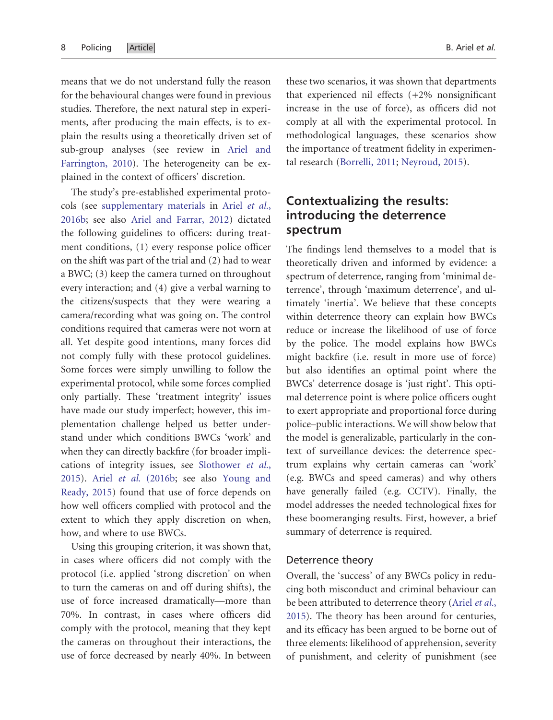means that we do not understand fully the reason for the behavioural changes were found in previous studies. Therefore, the next natural step in experiments, after producing the main effects, is to explain the results using a theoretically driven set of sub-group analyses (see review in [Ariel and](#page-17-0) [Farrington, 2010](#page-17-0)). The heterogeneity can be explained in the context of officers' discretion.

The study's pre-established experimental protocols (see [supplementary materials](http://policing.oxfordjournals.org/lookup/suppl/doi:10.1093/police/paw051/-/DC1) in Ariel [et al.](#page-17-0), [2016b](#page-17-0); see also [Ariel and Farrar, 2012](#page-17-0)) dictated the following guidelines to officers: during treatment conditions, (1) every response police officer on the shift was part of the trial and (2) had to wear a BWC; (3) keep the camera turned on throughout every interaction; and (4) give a verbal warning to the citizens/suspects that they were wearing a camera/recording what was going on. The control conditions required that cameras were not worn at all. Yet despite good intentions, many forces did not comply fully with these protocol guidelines. Some forces were simply unwilling to follow the experimental protocol, while some forces complied only partially. These 'treatment integrity' issues have made our study imperfect; however, this implementation challenge helped us better understand under which conditions BWCs 'work' and when they can directly backfire (for broader implications of integrity issues, see [Slothower](#page-19-0) et al., [2015](#page-19-0)). Ariel et al. [\(2016b;](#page-17-0) see also [Young and](#page-20-0) [Ready, 2015\)](#page-20-0) found that use of force depends on how well officers complied with protocol and the extent to which they apply discretion on when, how, and where to use BWCs.

Using this grouping criterion, it was shown that, in cases where officers did not comply with the protocol (i.e. applied 'strong discretion' on when to turn the cameras on and off during shifts), the use of force increased dramatically—more than 70%. In contrast, in cases where officers did comply with the protocol, meaning that they kept the cameras on throughout their interactions, the use of force decreased by nearly 40%. In between

these two scenarios, it was shown that departments that experienced nil effects (+2% nonsignificant increase in the use of force), as officers did not comply at all with the experimental protocol. In methodological languages, these scenarios show the importance of treatment fidelity in experimental research ([Borrelli, 2011;](#page-17-0) [Neyroud, 2015\)](#page-18-0).

# Contextualizing the results: introducing the deterrence spectrum

The findings lend themselves to a model that is theoretically driven and informed by evidence: a spectrum of deterrence, ranging from 'minimal deterrence', through 'maximum deterrence', and ultimately 'inertia'. We believe that these concepts within deterrence theory can explain how BWCs reduce or increase the likelihood of use of force by the police. The model explains how BWCs might backfire (i.e. result in more use of force) but also identifies an optimal point where the BWCs' deterrence dosage is 'just right'. This optimal deterrence point is where police officers ought to exert appropriate and proportional force during police–public interactions. We will show below that the model is generalizable, particularly in the context of surveillance devices: the deterrence spectrum explains why certain cameras can 'work' (e.g. BWCs and speed cameras) and why others have generally failed (e.g. CCTV). Finally, the model addresses the needed technological fixes for these boomeranging results. First, however, a brief summary of deterrence is required.

#### Deterrence theory

Overall, the 'success' of any BWCs policy in reducing both misconduct and criminal behaviour can be been attributed to deterrence theory [\(Ariel](#page-17-0) et al., [2015](#page-17-0)). The theory has been around for centuries, and its efficacy has been argued to be borne out of three elements: likelihood of apprehension, severity of punishment, and celerity of punishment (see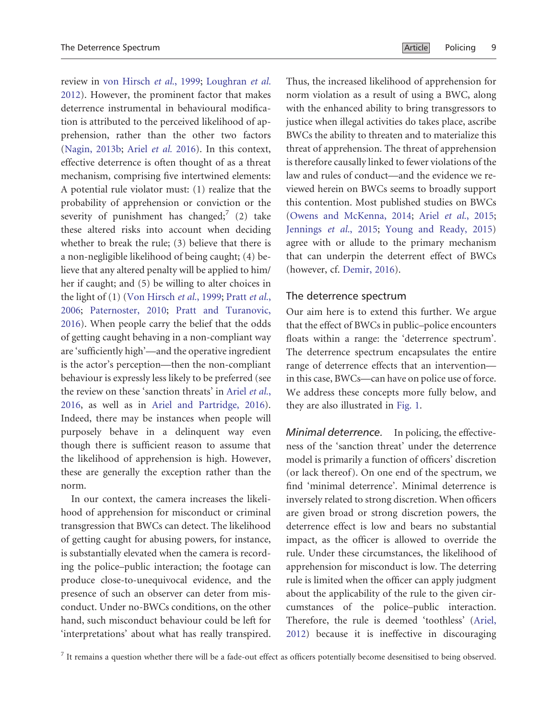review in [von Hirsch](#page-19-0) et al., 1999; [Loughran](#page-18-0) et al. [2012](#page-18-0)). However, the prominent factor that makes deterrence instrumental in behavioural modification is attributed to the perceived likelihood of apprehension, rather than the other two factors ([Nagin, 2013b](#page-18-0); Ariel [et al.](#page-17-0) 2016). In this context, effective deterrence is often thought of as a threat mechanism, comprising five intertwined elements: A potential rule violator must: (1) realize that the probability of apprehension or conviction or the severity of punishment has changed;<sup>7</sup> (2) take these altered risks into account when deciding whether to break the rule; (3) believe that there is a non-negligible likelihood of being caught; (4) believe that any altered penalty will be applied to him/ her if caught; and (5) be willing to alter choices in the light of (1) [\(Von Hirsch](#page-19-0) et al., 1999; [Pratt](#page-19-0) et al., [2006](#page-19-0); [Paternoster, 2010](#page-19-0); [Pratt and Turanovic,](#page-19-0) [2016](#page-19-0)). When people carry the belief that the odds of getting caught behaving in a non-compliant way are 'sufficiently high'—and the operative ingredient is the actor's perception—then the non-compliant behaviour is expressly less likely to be preferred (see the review on these 'sanction threats' in [Ariel](#page-17-0) et al., [2016](#page-17-0), as well as in [Ariel and Partridge, 2016](#page-16-0)). Indeed, there may be instances when people will purposely behave in a delinquent way even though there is sufficient reason to assume that the likelihood of apprehension is high. However, these are generally the exception rather than the norm.

In our context, the camera increases the likelihood of apprehension for misconduct or criminal transgression that BWCs can detect. The likelihood of getting caught for abusing powers, for instance, is substantially elevated when the camera is recording the police–public interaction; the footage can produce close-to-unequivocal evidence, and the presence of such an observer can deter from misconduct. Under no-BWCs conditions, on the other hand, such misconduct behaviour could be left for 'interpretations' about what has really transpired.

Thus, the increased likelihood of apprehension for norm violation as a result of using a BWC, along with the enhanced ability to bring transgressors to justice when illegal activities do takes place, ascribe BWCs the ability to threaten and to materialize this threat of apprehension. The threat of apprehension is therefore causally linked to fewer violations of the law and rules of conduct—and the evidence we reviewed herein on BWCs seems to broadly support this contention. Most published studies on BWCs [\(Owens and McKenna, 2014;](#page-18-0) Ariel et al.[, 2015;](#page-17-0) [Jennings](#page-18-0) et al., 2015; [Young and Ready, 2015](#page-20-0)) agree with or allude to the primary mechanism that can underpin the deterrent effect of BWCs (however, cf. [Demir, 2016](#page-17-0)).

#### The deterrence spectrum

Our aim here is to extend this further. We argue that the effect of BWCs in public–police encounters floats within a range: the 'deterrence spectrum'. The deterrence spectrum encapsulates the entire range of deterrence effects that an intervention in this case, BWCs—can have on police use of force. We address these concepts more fully below, and they are also illustrated in [Fig. 1.](#page-9-0)

Minimal deterrence. In policing, the effectiveness of the 'sanction threat' under the deterrence model is primarily a function of officers' discretion (or lack thereof). On one end of the spectrum, we find 'minimal deterrence'. Minimal deterrence is inversely related to strong discretion. When officers are given broad or strong discretion powers, the deterrence effect is low and bears no substantial impact, as the officer is allowed to override the rule. Under these circumstances, the likelihood of apprehension for misconduct is low. The deterring rule is limited when the officer can apply judgment about the applicability of the rule to the given circumstances of the police–public interaction. Therefore, the rule is deemed 'toothless' [\(Ariel,](#page-17-0) [2012](#page-17-0)) because it is ineffective in discouraging

 $^7$  It remains a question whether there will be a fade-out effect as officers potentially become desensitised to being observed.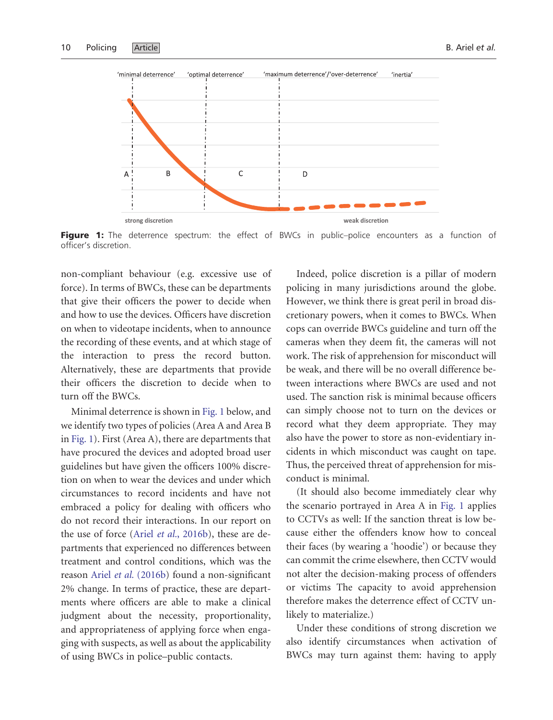<span id="page-9-0"></span>

Figure 1: The deterrence spectrum: the effect of BWCs in public-police encounters as a function of officer's discretion.

non-compliant behaviour (e.g. excessive use of force). In terms of BWCs, these can be departments that give their officers the power to decide when and how to use the devices. Officers have discretion on when to videotape incidents, when to announce the recording of these events, and at which stage of the interaction to press the record button. Alternatively, these are departments that provide their officers the discretion to decide when to turn off the BWCs.

Minimal deterrence is shown in Fig. 1 below, and we identify two types of policies (Area A and Area B in Fig. 1). First (Area A), there are departments that have procured the devices and adopted broad user guidelines but have given the officers 100% discretion on when to wear the devices and under which circumstances to record incidents and have not embraced a policy for dealing with officers who do not record their interactions. In our report on the use of force (Ariel et al.[, 2016b](#page-17-0)), these are departments that experienced no differences between treatment and control conditions, which was the reason Ariel et al. [\(2016b\)](#page-17-0) found a non-significant 2% change. In terms of practice, these are departments where officers are able to make a clinical judgment about the necessity, proportionality, and appropriateness of applying force when engaging with suspects, as well as about the applicability of using BWCs in police–public contacts.

Indeed, police discretion is a pillar of modern policing in many jurisdictions around the globe. However, we think there is great peril in broad discretionary powers, when it comes to BWCs. When cops can override BWCs guideline and turn off the cameras when they deem fit, the cameras will not work. The risk of apprehension for misconduct will be weak, and there will be no overall difference between interactions where BWCs are used and not used. The sanction risk is minimal because officers can simply choose not to turn on the devices or record what they deem appropriate. They may also have the power to store as non-evidentiary incidents in which misconduct was caught on tape. Thus, the perceived threat of apprehension for misconduct is minimal.

(It should also become immediately clear why the scenario portrayed in Area A in Fig. 1 applies to CCTVs as well: If the sanction threat is low because either the offenders know how to conceal their faces (by wearing a 'hoodie') or because they can commit the crime elsewhere, then CCTV would not alter the decision-making process of offenders or victims The capacity to avoid apprehension therefore makes the deterrence effect of CCTV unlikely to materialize.)

Under these conditions of strong discretion we also identify circumstances when activation of BWCs may turn against them: having to apply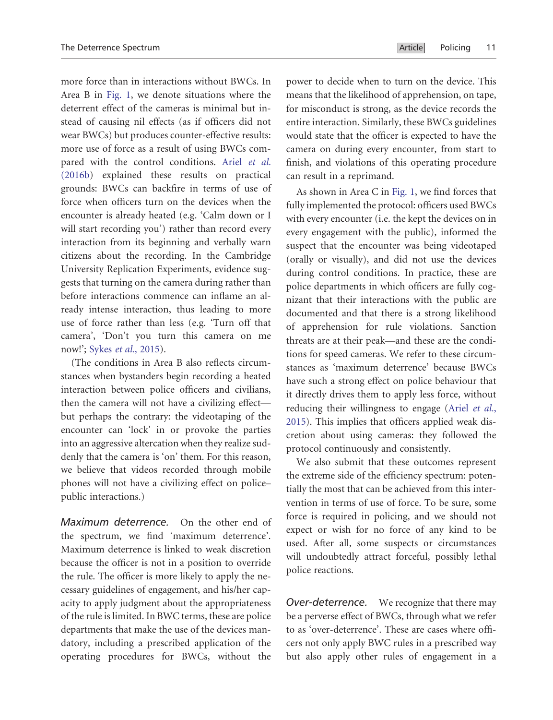more force than in interactions without BWCs. In Area B in [Fig. 1,](#page-9-0) we denote situations where the deterrent effect of the cameras is minimal but instead of causing nil effects (as if officers did not wear BWCs) but produces counter-effective results: more use of force as a result of using BWCs compared with the control conditions. Ariel [et al.](#page-17-0) [\(2016b\)](#page-17-0) explained these results on practical grounds: BWCs can backfire in terms of use of force when officers turn on the devices when the encounter is already heated (e.g. 'Calm down or I will start recording you') rather than record every interaction from its beginning and verbally warn citizens about the recording. In the Cambridge University Replication Experiments, evidence suggests that turning on the camera during rather than before interactions commence can inflame an already intense interaction, thus leading to more use of force rather than less (e.g. 'Turn off that camera', 'Don't you turn this camera on me now!'; Sykes et al.[, 2015\)](#page-19-0).

(The conditions in Area B also reflects circumstances when bystanders begin recording a heated interaction between police officers and civilians, then the camera will not have a civilizing effect but perhaps the contrary: the videotaping of the encounter can 'lock' in or provoke the parties into an aggressive altercation when they realize suddenly that the camera is 'on' them. For this reason, we believe that videos recorded through mobile phones will not have a civilizing effect on police– public interactions.)

Maximum deterrence. On the other end of the spectrum, we find 'maximum deterrence'. Maximum deterrence is linked to weak discretion because the officer is not in a position to override the rule. The officer is more likely to apply the necessary guidelines of engagement, and his/her capacity to apply judgment about the appropriateness of the rule is limited. In BWC terms, these are police departments that make the use of the devices mandatory, including a prescribed application of the operating procedures for BWCs, without the

power to decide when to turn on the device. This means that the likelihood of apprehension, on tape, for misconduct is strong, as the device records the entire interaction. Similarly, these BWCs guidelines would state that the officer is expected to have the camera on during every encounter, from start to finish, and violations of this operating procedure can result in a reprimand.

As shown in Area C in [Fig. 1](#page-9-0), we find forces that fully implemented the protocol: officers used BWCs with every encounter (i.e. the kept the devices on in every engagement with the public), informed the suspect that the encounter was being videotaped (orally or visually), and did not use the devices during control conditions. In practice, these are police departments in which officers are fully cognizant that their interactions with the public are documented and that there is a strong likelihood of apprehension for rule violations. Sanction threats are at their peak—and these are the conditions for speed cameras. We refer to these circumstances as 'maximum deterrence' because BWCs have such a strong effect on police behaviour that it directly drives them to apply less force, without reducing their willingness to engage (Ariel [et al.](#page-17-0), [2015](#page-17-0)). This implies that officers applied weak discretion about using cameras: they followed the protocol continuously and consistently.

We also submit that these outcomes represent the extreme side of the efficiency spectrum: potentially the most that can be achieved from this intervention in terms of use of force. To be sure, some force is required in policing, and we should not expect or wish for no force of any kind to be used. After all, some suspects or circumstances will undoubtedly attract forceful, possibly lethal police reactions.

**Over-deterrence.** We recognize that there may be a perverse effect of BWCs, through what we refer to as 'over-deterrence'. These are cases where officers not only apply BWC rules in a prescribed way but also apply other rules of engagement in a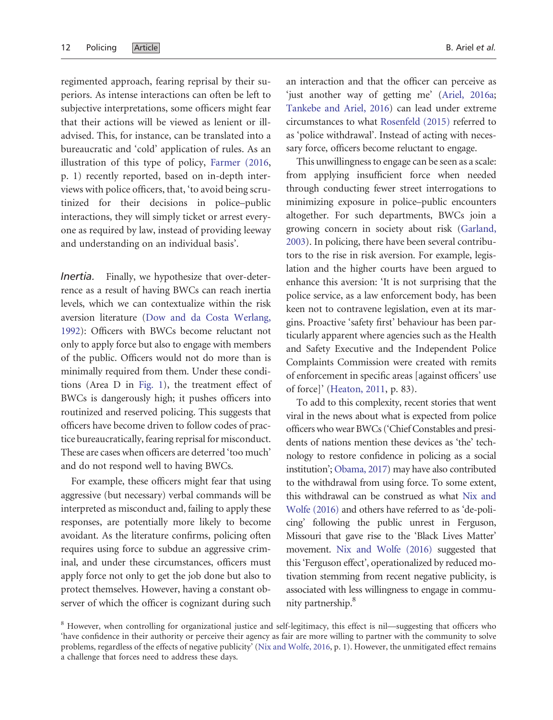regimented approach, fearing reprisal by their superiors. As intense interactions can often be left to subjective interpretations, some officers might fear that their actions will be viewed as lenient or illadvised. This, for instance, can be translated into a bureaucratic and 'cold' application of rules. As an illustration of this type of policy, [Farmer \(2016](#page-18-0), p. 1) recently reported, based on in-depth interviews with police officers, that, 'to avoid being scrutinized for their decisions in police–public interactions, they will simply ticket or arrest everyone as required by law, instead of providing leeway and understanding on an individual basis'.

Inertia. Finally, we hypothesize that over-deterrence as a result of having BWCs can reach inertia levels, which we can contextualize within the risk aversion literature [\(Dow and da Costa Werlang,](#page-17-0) [1992\)](#page-17-0): Officers with BWCs become reluctant not only to apply force but also to engage with members of the public. Officers would not do more than is minimally required from them. Under these conditions (Area D in [Fig. 1](#page-9-0)), the treatment effect of BWCs is dangerously high; it pushes officers into routinized and reserved policing. This suggests that officers have become driven to follow codes of practice bureaucratically, fearing reprisal for misconduct. These are cases when officers are deterred 'too much' and do not respond well to having BWCs.

For example, these officers might fear that using aggressive (but necessary) verbal commands will be interpreted as misconduct and, failing to apply these responses, are potentially more likely to become avoidant. As the literature confirms, policing often requires using force to subdue an aggressive criminal, and under these circumstances, officers must apply force not only to get the job done but also to protect themselves. However, having a constant observer of which the officer is cognizant during such

an interaction and that the officer can perceive as 'just another way of getting me' [\(Ariel, 2016a;](#page-17-0) [Tankebe and Ariel, 2016](#page-19-0)) can lead under extreme circumstances to what [Rosenfeld \(2015\)](#page-19-0) referred to as 'police withdrawal'. Instead of acting with necessary force, officers become reluctant to engage.

This unwillingness to engage can be seen as a scale: from applying insufficient force when needed through conducting fewer street interrogations to minimizing exposure in police–public encounters altogether. For such departments, BWCs join a growing concern in society about risk ([Garland,](#page-18-0) [2003](#page-18-0)). In policing, there have been several contributors to the rise in risk aversion. For example, legislation and the higher courts have been argued to enhance this aversion: 'It is not surprising that the police service, as a law enforcement body, has been keen not to contravene legislation, even at its margins. Proactive 'safety first' behaviour has been particularly apparent where agencies such as the Health and Safety Executive and the Independent Police Complaints Commission were created with remits of enforcement in specific areas [against officers' use of force]' [\(Heaton, 2011](#page-18-0), p. 83).

To add to this complexity, recent stories that went viral in the news about what is expected from police officers who wear BWCs ('Chief Constables and presidents of nations mention these devices as 'the' technology to restore confidence in policing as a social institution'; [Obama, 2017](#page-18-0)) may have also contributed to the withdrawal from using force. To some extent, this withdrawal can be construed as what [Nix and](#page-18-0) [Wolfe \(2016\)](#page-18-0) and others have referred to as 'de-policing' following the public unrest in Ferguson, Missouri that gave rise to the 'Black Lives Matter' movement. [Nix and Wolfe \(2016\)](#page-18-0) suggested that this 'Ferguson effect', operationalized by reduced motivation stemming from recent negative publicity, is associated with less willingness to engage in community partnership.8

<sup>8</sup> However, when controlling for organizational justice and self-legitimacy, this effect is nil—suggesting that officers who 'have confidence in their authority or perceive their agency as fair are more willing to partner with the community to solve problems, regardless of the effects of negative publicity' [\(Nix and Wolfe, 2016,](#page-18-0) p. 1). However, the unmitigated effect remains a challenge that forces need to address these days.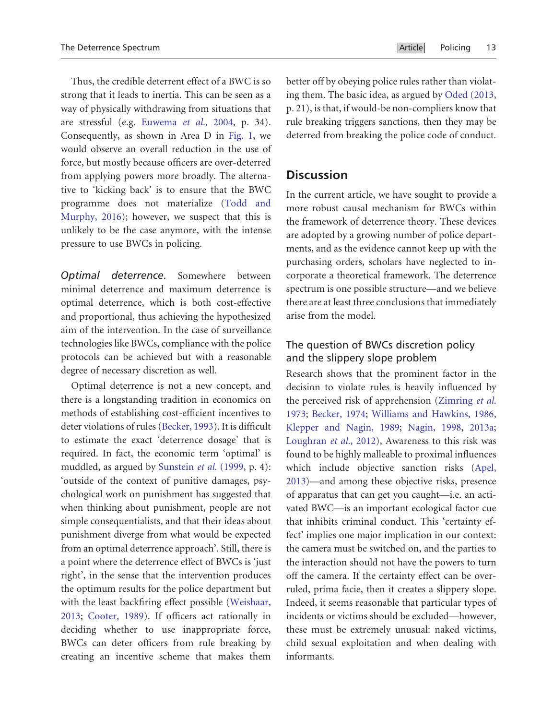Thus, the credible deterrent effect of a BWC is so strong that it leads to inertia. This can be seen as a way of physically withdrawing from situations that are stressful (e.g. [Euwema](#page-17-0) et al., 2004, p. 34). Consequently, as shown in Area D in [Fig. 1](#page-9-0), we would observe an overall reduction in the use of force, but mostly because officers are over-deterred from applying powers more broadly. The alternative to 'kicking back' is to ensure that the BWC programme does not materialize ([Todd and](#page-19-0) [Murphy, 2016\)](#page-19-0); however, we suspect that this is unlikely to be the case anymore, with the intense pressure to use BWCs in policing.

Optimal deterrence. Somewhere between minimal deterrence and maximum deterrence is optimal deterrence, which is both cost-effective and proportional, thus achieving the hypothesized aim of the intervention. In the case of surveillance technologies like BWCs, compliance with the police protocols can be achieved but with a reasonable degree of necessary discretion as well.

Optimal deterrence is not a new concept, and there is a longstanding tradition in economics on methods of establishing cost-efficient incentives to deter violations of rules ([Becker, 1993\)](#page-17-0). It is difficult to estimate the exact 'deterrence dosage' that is required. In fact, the economic term 'optimal' is muddled, as argued by [Sunstein](#page-19-0) et al. (1999, p. 4): 'outside of the context of punitive damages, psychological work on punishment has suggested that when thinking about punishment, people are not simple consequentialists, and that their ideas about punishment diverge from what would be expected from an optimal deterrence approach'. Still, there is a point where the deterrence effect of BWCs is 'just right', in the sense that the intervention produces the optimum results for the police department but with the least backfiring effect possible ([Weishaar,](#page-19-0) [2013](#page-19-0); [Cooter, 1989](#page-17-0)). If officers act rationally in deciding whether to use inappropriate force, BWCs can deter officers from rule breaking by creating an incentive scheme that makes them

better off by obeying police rules rather than violating them. The basic idea, as argued by [Oded \(2013,](#page-18-0) p. 21), is that, if would-be non-compliers know that rule breaking triggers sanctions, then they may be deterred from breaking the police code of conduct.

# **Discussion**

In the current article, we have sought to provide a more robust causal mechanism for BWCs within the framework of deterrence theory. These devices are adopted by a growing number of police departments, and as the evidence cannot keep up with the purchasing orders, scholars have neglected to incorporate a theoretical framework. The deterrence spectrum is one possible structure—and we believe there are at least three conclusions that immediately arise from the model.

# The question of BWCs discretion policy and the slippery slope problem

Research shows that the prominent factor in the decision to violate rules is heavily influenced by the perceived risk of apprehension ([Zimring](#page-20-0) et al. [1973](#page-20-0); [Becker, 1974](#page-17-0); [Williams and Hawkins, 1986,](#page-20-0) [Klepper and Nagin, 1989](#page-18-0); [Nagin, 1998](#page-18-0), [2013a;](#page-18-0) [Loughran](#page-18-0) et al., 2012), Awareness to this risk was found to be highly malleable to proximal influences which include objective sanction risks [\(Apel,](#page-16-0) [2013](#page-16-0))—and among these objective risks, presence of apparatus that can get you caught—i.e. an activated BWC—is an important ecological factor cue that inhibits criminal conduct. This 'certainty effect' implies one major implication in our context: the camera must be switched on, and the parties to the interaction should not have the powers to turn off the camera. If the certainty effect can be overruled, prima facie, then it creates a slippery slope. Indeed, it seems reasonable that particular types of incidents or victims should be excluded—however, these must be extremely unusual: naked victims, child sexual exploitation and when dealing with informants.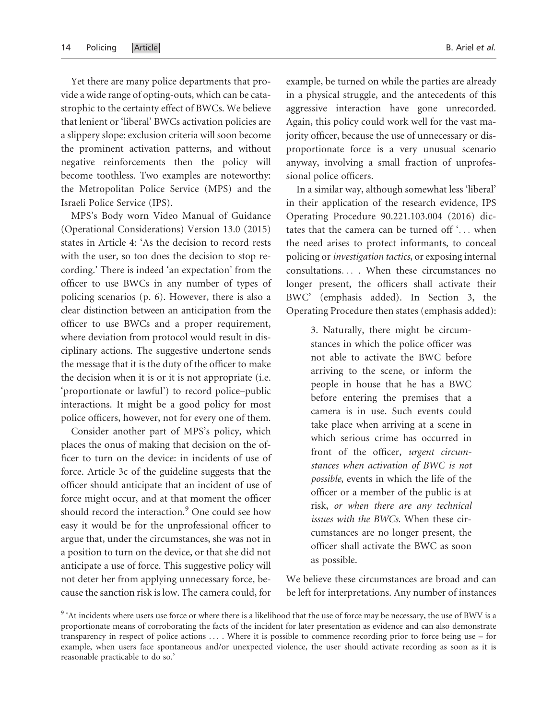Yet there are many police departments that provide a wide range of opting-outs, which can be catastrophic to the certainty effect of BWCs. We believe that lenient or 'liberal' BWCs activation policies are a slippery slope: exclusion criteria will soon become the prominent activation patterns, and without negative reinforcements then the policy will become toothless. Two examples are noteworthy: the Metropolitan Police Service (MPS) and the Israeli Police Service (IPS).

MPS's Body worn Video Manual of Guidance (Operational Considerations) Version 13.0 (2015) states in Article 4: 'As the decision to record rests with the user, so too does the decision to stop recording.' There is indeed 'an expectation' from the officer to use BWCs in any number of types of policing scenarios (p. 6). However, there is also a clear distinction between an anticipation from the officer to use BWCs and a proper requirement, where deviation from protocol would result in disciplinary actions. The suggestive undertone sends the message that it is the duty of the officer to make the decision when it is or it is not appropriate (i.e. 'proportionate or lawful') to record police–public interactions. It might be a good policy for most police officers, however, not for every one of them.

Consider another part of MPS's policy, which places the onus of making that decision on the officer to turn on the device: in incidents of use of force. Article 3c of the guideline suggests that the officer should anticipate that an incident of use of force might occur, and at that moment the officer should record the interaction.<sup>9</sup> One could see how easy it would be for the unprofessional officer to argue that, under the circumstances, she was not in a position to turn on the device, or that she did not anticipate a use of force. This suggestive policy will not deter her from applying unnecessary force, because the sanction risk is low. The camera could, for

example, be turned on while the parties are already in a physical struggle, and the antecedents of this aggressive interaction have gone unrecorded. Again, this policy could work well for the vast majority officer, because the use of unnecessary or disproportionate force is a very unusual scenario anyway, involving a small fraction of unprofessional police officers.

In a similar way, although somewhat less 'liberal' in their application of the research evidence, IPS Operating Procedure 90.221.103.004 (2016) dictates that the camera can be turned off '... when the need arises to protect informants, to conceal policing or investigation tactics, or exposing internal consultations... . When these circumstances no longer present, the officers shall activate their BWC' (emphasis added). In Section 3, the Operating Procedure then states (emphasis added):

> 3. Naturally, there might be circumstances in which the police officer was not able to activate the BWC before arriving to the scene, or inform the people in house that he has a BWC before entering the premises that a camera is in use. Such events could take place when arriving at a scene in which serious crime has occurred in front of the officer, urgent circumstances when activation of BWC is not possible, events in which the life of the officer or a member of the public is at risk, or when there are any technical issues with the BWCs. When these circumstances are no longer present, the officer shall activate the BWC as soon as possible.

We believe these circumstances are broad and can be left for interpretations. Any number of instances

<sup>&</sup>lt;sup>9</sup> 'At incidents where users use force or where there is a likelihood that the use of force may be necessary, the use of BWV is a proportionate means of corroborating the facts of the incident for later presentation as evidence and can also demonstrate transparency in respect of police actions ... . Where it is possible to commence recording prior to force being use – for example, when users face spontaneous and/or unexpected violence, the user should activate recording as soon as it is reasonable practicable to do so.'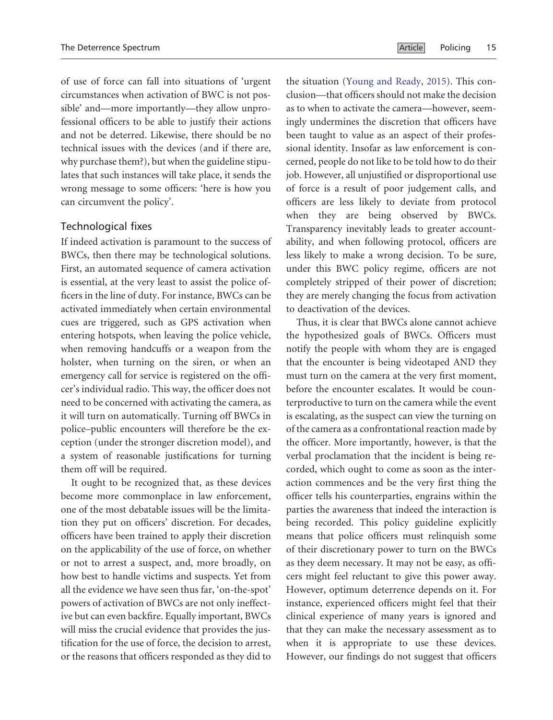of use of force can fall into situations of 'urgent circumstances when activation of BWC is not possible' and—more importantly—they allow unprofessional officers to be able to justify their actions and not be deterred. Likewise, there should be no technical issues with the devices (and if there are, why purchase them?), but when the guideline stipulates that such instances will take place, it sends the wrong message to some officers: 'here is how you can circumvent the policy'.

#### Technological fixes

If indeed activation is paramount to the success of BWCs, then there may be technological solutions. First, an automated sequence of camera activation is essential, at the very least to assist the police officers in the line of duty. For instance, BWCs can be activated immediately when certain environmental cues are triggered, such as GPS activation when entering hotspots, when leaving the police vehicle, when removing handcuffs or a weapon from the holster, when turning on the siren, or when an emergency call for service is registered on the officer's individual radio. This way, the officer does not need to be concerned with activating the camera, as it will turn on automatically. Turning off BWCs in police–public encounters will therefore be the exception (under the stronger discretion model), and a system of reasonable justifications for turning them off will be required.

It ought to be recognized that, as these devices become more commonplace in law enforcement, one of the most debatable issues will be the limitation they put on officers' discretion. For decades, officers have been trained to apply their discretion on the applicability of the use of force, on whether or not to arrest a suspect, and, more broadly, on how best to handle victims and suspects. Yet from all the evidence we have seen thus far, 'on-the-spot' powers of activation of BWCs are not only ineffective but can even backfire. Equally important, BWCs will miss the crucial evidence that provides the justification for the use of force, the decision to arrest, or the reasons that officers responded as they did to the situation ([Young and Ready, 2015\)](#page-20-0). This conclusion—that officers should not make the decision as to when to activate the camera—however, seemingly undermines the discretion that officers have been taught to value as an aspect of their professional identity. Insofar as law enforcement is concerned, people do not like to be told how to do their job. However, all unjustified or disproportional use of force is a result of poor judgement calls, and officers are less likely to deviate from protocol when they are being observed by BWCs. Transparency inevitably leads to greater accountability, and when following protocol, officers are less likely to make a wrong decision. To be sure, under this BWC policy regime, officers are not completely stripped of their power of discretion; they are merely changing the focus from activation to deactivation of the devices.

Thus, it is clear that BWCs alone cannot achieve the hypothesized goals of BWCs. Officers must notify the people with whom they are is engaged that the encounter is being videotaped AND they must turn on the camera at the very first moment, before the encounter escalates. It would be counterproductive to turn on the camera while the event is escalating, as the suspect can view the turning on of the camera as a confrontational reaction made by the officer. More importantly, however, is that the verbal proclamation that the incident is being recorded, which ought to come as soon as the interaction commences and be the very first thing the officer tells his counterparties, engrains within the parties the awareness that indeed the interaction is being recorded. This policy guideline explicitly means that police officers must relinquish some of their discretionary power to turn on the BWCs as they deem necessary. It may not be easy, as officers might feel reluctant to give this power away. However, optimum deterrence depends on it. For instance, experienced officers might feel that their clinical experience of many years is ignored and that they can make the necessary assessment as to when it is appropriate to use these devices. However, our findings do not suggest that officers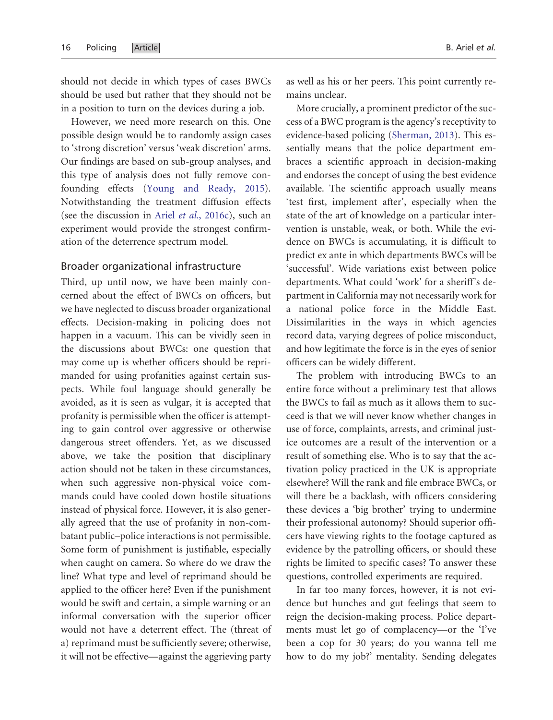should not decide in which types of cases BWCs should be used but rather that they should not be in a position to turn on the devices during a job.

However, we need more research on this. One possible design would be to randomly assign cases to 'strong discretion' versus 'weak discretion' arms. Our findings are based on sub-group analyses, and this type of analysis does not fully remove confounding effects [\(Young and Ready, 2015](#page-20-0)). Notwithstanding the treatment diffusion effects (see the discussion in Ariel et al.[, 2016c\)](#page-17-0), such an experiment would provide the strongest confirmation of the deterrence spectrum model.

#### Broader organizational infrastructure

Third, up until now, we have been mainly concerned about the effect of BWCs on officers, but we have neglected to discuss broader organizational effects. Decision-making in policing does not happen in a vacuum. This can be vividly seen in the discussions about BWCs: one question that may come up is whether officers should be reprimanded for using profanities against certain suspects. While foul language should generally be avoided, as it is seen as vulgar, it is accepted that profanity is permissible when the officer is attempting to gain control over aggressive or otherwise dangerous street offenders. Yet, as we discussed above, we take the position that disciplinary action should not be taken in these circumstances, when such aggressive non-physical voice commands could have cooled down hostile situations instead of physical force. However, it is also generally agreed that the use of profanity in non-combatant public–police interactions is not permissible. Some form of punishment is justifiable, especially when caught on camera. So where do we draw the line? What type and level of reprimand should be applied to the officer here? Even if the punishment would be swift and certain, a simple warning or an informal conversation with the superior officer would not have a deterrent effect. The (threat of a) reprimand must be sufficiently severe; otherwise, it will not be effective—against the aggrieving party

as well as his or her peers. This point currently remains unclear.

More crucially, a prominent predictor of the success of a BWC program is the agency's receptivity to evidence-based policing [\(Sherman, 2013](#page-19-0)). This essentially means that the police department embraces a scientific approach in decision-making and endorses the concept of using the best evidence available. The scientific approach usually means 'test first, implement after', especially when the state of the art of knowledge on a particular intervention is unstable, weak, or both. While the evidence on BWCs is accumulating, it is difficult to predict ex ante in which departments BWCs will be 'successful'. Wide variations exist between police departments. What could 'work' for a sheriff's department in California may not necessarily work for a national police force in the Middle East. Dissimilarities in the ways in which agencies record data, varying degrees of police misconduct, and how legitimate the force is in the eyes of senior officers can be widely different.

The problem with introducing BWCs to an entire force without a preliminary test that allows the BWCs to fail as much as it allows them to succeed is that we will never know whether changes in use of force, complaints, arrests, and criminal justice outcomes are a result of the intervention or a result of something else. Who is to say that the activation policy practiced in the UK is appropriate elsewhere? Will the rank and file embrace BWCs, or will there be a backlash, with officers considering these devices a 'big brother' trying to undermine their professional autonomy? Should superior officers have viewing rights to the footage captured as evidence by the patrolling officers, or should these rights be limited to specific cases? To answer these questions, controlled experiments are required.

In far too many forces, however, it is not evidence but hunches and gut feelings that seem to reign the decision-making process. Police departments must let go of complacency—or the 'I've been a cop for 30 years; do you wanna tell me how to do my job?' mentality. Sending delegates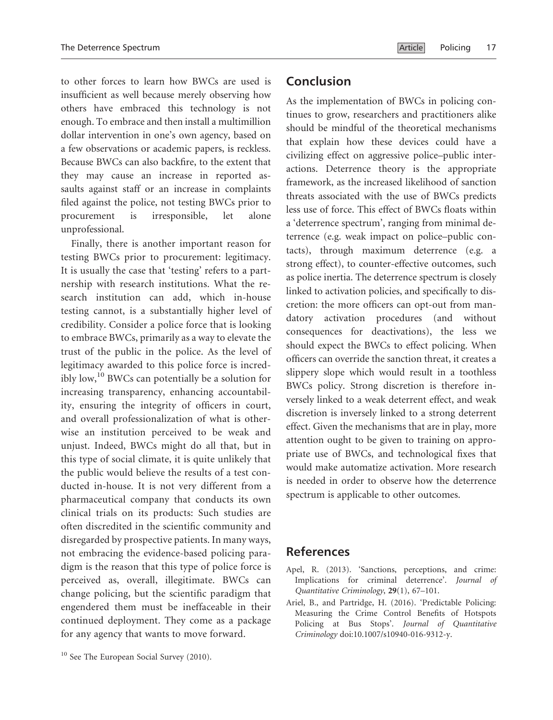<span id="page-16-0"></span>to other forces to learn how BWCs are used is insufficient as well because merely observing how others have embraced this technology is not enough. To embrace and then install a multimillion dollar intervention in one's own agency, based on a few observations or academic papers, is reckless. Because BWCs can also backfire, to the extent that they may cause an increase in reported assaults against staff or an increase in complaints filed against the police, not testing BWCs prior to procurement is irresponsible, let alone unprofessional.

Finally, there is another important reason for testing BWCs prior to procurement: legitimacy. It is usually the case that 'testing' refers to a partnership with research institutions. What the research institution can add, which in-house testing cannot, is a substantially higher level of credibility. Consider a police force that is looking to embrace BWCs, primarily as a way to elevate the trust of the public in the police. As the level of legitimacy awarded to this police force is incredibly low,  $^{10}$  BWCs can potentially be a solution for increasing transparency, enhancing accountability, ensuring the integrity of officers in court, and overall professionalization of what is otherwise an institution perceived to be weak and unjust. Indeed, BWCs might do all that, but in this type of social climate, it is quite unlikely that the public would believe the results of a test conducted in-house. It is not very different from a pharmaceutical company that conducts its own clinical trials on its products: Such studies are often discredited in the scientific community and disregarded by prospective patients. In many ways, not embracing the evidence-based policing paradigm is the reason that this type of police force is perceived as, overall, illegitimate. BWCs can change policing, but the scientific paradigm that engendered them must be ineffaceable in their continued deployment. They come as a package for any agency that wants to move forward.

# Conclusion

As the implementation of BWCs in policing continues to grow, researchers and practitioners alike should be mindful of the theoretical mechanisms that explain how these devices could have a civilizing effect on aggressive police–public interactions. Deterrence theory is the appropriate framework, as the increased likelihood of sanction threats associated with the use of BWCs predicts less use of force. This effect of BWCs floats within a 'deterrence spectrum', ranging from minimal deterrence (e.g. weak impact on police–public contacts), through maximum deterrence (e.g. a strong effect), to counter-effective outcomes, such as police inertia. The deterrence spectrum is closely linked to activation policies, and specifically to discretion: the more officers can opt-out from mandatory activation procedures (and without consequences for deactivations), the less we should expect the BWCs to effect policing. When officers can override the sanction threat, it creates a slippery slope which would result in a toothless BWCs policy. Strong discretion is therefore inversely linked to a weak deterrent effect, and weak discretion is inversely linked to a strong deterrent effect. Given the mechanisms that are in play, more attention ought to be given to training on appropriate use of BWCs, and technological fixes that would make automatize activation. More research is needed in order to observe how the deterrence spectrum is applicable to other outcomes.

## References

- Apel, R. (2013). 'Sanctions, perceptions, and crime: Implications for criminal deterrence'. Journal of Quantitative Criminology, 29(1), 67–101.
- Ariel, B., and Partridge, H. (2016). 'Predictable Policing: Measuring the Crime Control Benefits of Hotspots Policing at Bus Stops'. Journal of Quantitative Criminology doi:10.1007/s10940-016-9312-y.

<sup>&</sup>lt;sup>10</sup> See The European Social Survey (2010).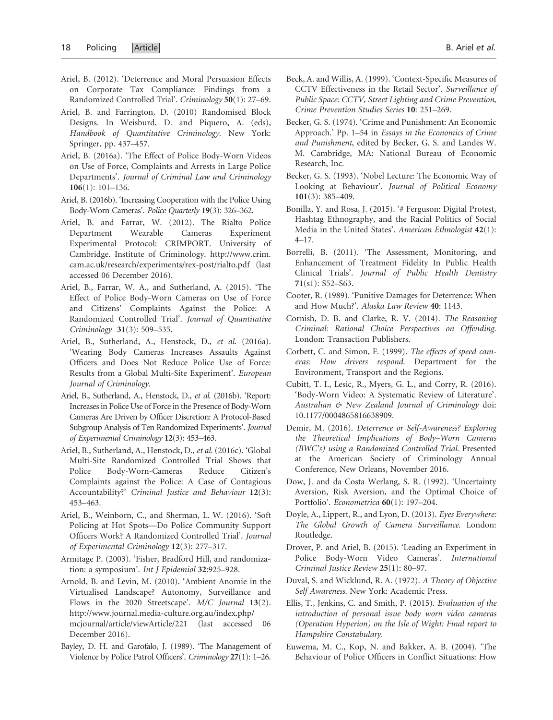- <span id="page-17-0"></span>Ariel, B. (2012). 'Deterrence and Moral Persuasion Effects on Corporate Tax Compliance: Findings from a Randomized Controlled Trial'. Criminology 50(1): 27–69.
- Ariel, B. and Farrington, D. (2010) Randomised Block Designs. In Weisburd, D. and Piquero, A. (eds), Handbook of Quantitative Criminology. New York: Springer, pp. 437–457.
- Ariel, B. (2016a). 'The Effect of Police Body-Worn Videos on Use of Force, Complaints and Arrests in Large Police Departments'. Journal of Criminal Law and Criminology 106(1): 101–136.
- Ariel, B. (2016b). 'Increasing Cooperation with the Police Using Body-Worn Cameras'. Police Quarterly 19(3): 326–362.
- Ariel, B. and Farrar, W. (2012). The Rialto Police Department Wearable Cameras Experiment Experimental Protocol: CRIMPORT. University of Cambridge. Institute of Criminology. [http://www.crim.](http://www.crim.cam.ac.uk/research/experiments/rex-post/rialto.pdf) [cam.ac.uk/research/experiments/rex-post/rialto.pdf](http://www.crim.cam.ac.uk/research/experiments/rex-post/rialto.pdf) (last accessed 06 December 2016).
- Ariel, B., Farrar, W. A., and Sutherland, A. (2015). 'The Effect of Police Body-Worn Cameras on Use of Force and Citizens' Complaints Against the Police: A Randomized Controlled Trial'. Journal of Quantitative Criminology 31(3): 509–535.
- Ariel, B., Sutherland, A., Henstock, D., et al. (2016a). 'Wearing Body Cameras Increases Assaults Against Officers and Does Not Reduce Police Use of Force: Results from a Global Multi-Site Experiment'. European Journal of Criminology.
- Ariel, B., Sutherland, A., Henstock, D., et al. (2016b). 'Report: Increases in Police Use of Force in the Presence of Body-Worn Cameras Are Driven by Officer Discretion: A Protocol-Based Subgroup Analysis of Ten Randomized Experiments'. Journal of Experimental Criminology 12(3): 453–463.
- Ariel, B., Sutherland, A., Henstock, D., et al. (2016c). 'Global Multi-Site Randomized Controlled Trial Shows that Police Body-Worn-Cameras Reduce Citizen's Complaints against the Police: A Case of Contagious Accountability?' Criminal Justice and Behaviour 12(3): 453–463.
- Ariel, B., Weinborn, C., and Sherman, L. W. (2016). 'Soft Policing at Hot Spots—Do Police Community Support Officers Work? A Randomized Controlled Trial'. Journal of Experimental Criminology 12(3): 277–317.
- Armitage P. (2003). 'Fisher, Bradford Hill, and randomization: a symposium'. Int J Epidemiol 32:925–928.
- Arnold, B. and Levin, M. (2010). 'Ambient Anomie in the Virtualised Landscape? Autonomy, Surveillance and Flows in the 2020 Streetscape'. M/C Journal 13(2). [http://www.journal.media-culture.org.au/index.php/](http://www.journal.media-culture.org.au/index.php/mcjournal/article/viewArticle/221) [mcjournal/article/viewArticle/221](http://www.journal.media-culture.org.au/index.php/mcjournal/article/viewArticle/221) (last accessed 06 December 2016).
- Bayley, D. H. and Garofalo, J. (1989). 'The Management of Violence by Police Patrol Officers'. Criminology 27(1): 1–26.
- Beck, A. and Willis, A. (1999). 'Context-Specific Measures of CCTV Effectiveness in the Retail Sector'. Surveillance of Public Space: CCTV, Street Lighting and Crime Prevention, Crime Prevention Studies Series 10: 251–269.
- Becker, G. S. (1974). 'Crime and Punishment: An Economic Approach.' Pp. 1–54 in Essays in the Economics of Crime and Punishment, edited by Becker, G. S. and Landes W. M. Cambridge, MA: National Bureau of Economic Research, Inc.
- Becker, G. S. (1993). 'Nobel Lecture: The Economic Way of Looking at Behaviour'. Journal of Political Economy 101(3): 385–409.
- Bonilla, Y. and Rosa, J. (2015). '# Ferguson: Digital Protest, Hashtag Ethnography, and the Racial Politics of Social Media in the United States'. American Ethnologist 42(1): 4–17.
- Borrelli, B. (2011). 'The Assessment, Monitoring, and Enhancement of Treatment Fidelity In Public Health Clinical Trials'. Journal of Public Health Dentistry 71(s1): S52–S63.
- Cooter, R. (1989). 'Punitive Damages for Deterrence: When and How Much?'. Alaska Law Review 40: 1143.
- Cornish, D. B. and Clarke, R. V. (2014). The Reasoning Criminal: Rational Choice Perspectives on Offending. London: Transaction Publishers.
- Corbett, C. and Simon, F. (1999). The effects of speed cameras: How drivers respond. Department for the Environment, Transport and the Regions.
- Cubitt, T. I., Lesic, R., Myers, G. L., and Corry, R. (2016). 'Body-Worn Video: A Systematic Review of Literature'. Australian & New Zealand Journal of Criminology doi: 10.1177/0004865816638909.
- Demir, M. (2016). Deterrence or Self-Awareness? Exploring the Theoretical Implications of Body–Worn Cameras (BWC's) using a Randomized Controlled Trial. Presented at the American Society of Criminology Annual Conference, New Orleans, November 2016.
- Dow, J. and da Costa Werlang, S. R. (1992). 'Uncertainty Aversion, Risk Aversion, and the Optimal Choice of Portfolio'. Econometrica 60(1): 197–204.
- Doyle, A., Lippert, R., and Lyon, D. (2013). Eyes Everywhere: The Global Growth of Camera Surveillance. London: Routledge.
- Drover, P. and Ariel, B. (2015). 'Leading an Experiment in Police Body-Worn Video Cameras'. International Criminal Justice Review 25(1): 80–97.
- Duval, S. and Wicklund, R. A. (1972). A Theory of Objective Self Awareness. New York: Academic Press.
- Ellis, T., Jenkins, C. and Smith, P. (2015). Evaluation of the introduction of personal issue body worn video cameras (Operation Hyperion) on the Isle of Wight: Final report to Hampshire Constabulary.
- Euwema, M. C., Kop, N. and Bakker, A. B. (2004). 'The Behaviour of Police Officers in Conflict Situations: How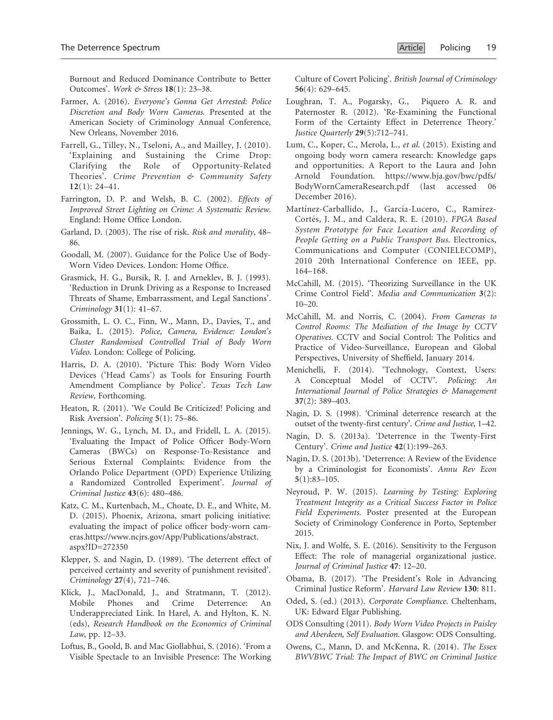<span id="page-18-0"></span>Burnout and Reduced Dominance Contribute to Better Outcomes'. Work & Stress  $18(1)$ : 23-38.

- Farmer, A. (2016). Everyone's Gonna Get Arrested: Police Discretion and Body Worn Cameras. Presented at the American Society of Criminology Annual Conference, New Orleans, November 2016.
- Farrell, G., Tilley, N., Tseloni, A., and Mailley, J. (2010). 'Explaining and Sustaining the Crime Drop: Role of Opportunity-Related Theories'. Crime Prevention & Community Safety 12(1): 24–41.
- Farrington, D. P. and Welsh, B. C. (2002). Effects of Improved Street Lighting on Crime: A Systematic Review. England: Home Office London.
- Garland, D. (2003). The rise of risk. Risk and morality, 48– 86.
- Goodall, M. (2007). Guidance for the Police Use of Body-Worn Video Devices. London: Home Office.
- Grasmick, H. G., Bursik, R. J. and Arneklev, B. J. (1993). 'Reduction in Drunk Driving as a Response to Increased Threats of Shame, Embarrassment, and Legal Sanctions'. Criminology 31(1): 41–67.
- Grossmith, L. O. C., Finn, W., Mann, D., Davies, T., and Baika, L. (2015). Police, Camera, Evidence: London's Cluster Randomised Controlled Trial of Body Worn Video. London: College of Policing.
- Harris, D. A. (2010). 'Picture This: Body Worn Video Devices ('Head Cams') as Tools for Ensuring Fourth Amendment Compliance by Police'. Texas Tech Law Review, Forthcoming.
- Heaton, R. (2011). 'We Could Be Criticized! Policing and Risk Aversion'. Policing 5(1): 75–86.
- Jennings, W. G., Lynch, M. D., and Fridell, L. A. (2015). 'Evaluating the Impact of Police Officer Body-Worn Cameras (BWCs) on Response-To-Resistance and Serious External Complaints: Evidence from the Orlando Police Department (OPD) Experience Utilizing a Randomized Controlled Experiment'. Journal of Criminal Justice 43(6): 480–486.
- Katz, C. M., Kurtenbach, M., Choate, D. E., and White, M. D. (2015). Phoenix, Arizona, smart policing initiative: evaluating the impact of police officer body-worn cameras.[https://www.ncjrs.gov/App/Publications/abstract.](https://www.ncjrs.gov/App/Publications/abstract.aspx?ID=272350) [aspx?ID=272350](https://www.ncjrs.gov/App/Publications/abstract.aspx?ID=272350)
- Klepper, S. and Nagin, D. (1989). 'The deterrent effect of perceived certainty and severity of punishment revisited'. Criminology 27(4), 721–746.
- Klick, J., MacDonald, J., and Stratmann, T. (2012). Mobile Phones and Crime Deterrence: An Underappreciated Link. In Harel, A. and Hylton, K. N. (eds), Research Handbook on the Economics of Criminal Law, pp. 12–33.
- Loftus, B., Goold, B. and Mac Giollabhui, S. (2016). 'From a Visible Spectacle to an Invisible Presence: The Working

Culture of Covert Policing'. British Journal of Criminology 56(4): 629–645.

- Loughran, T. A., Pogarsky, G., Piquero A. R. and Paternoster R. (2012). 'Re-Examining the Functional Form of the Certainty Effect in Deterrence Theory.' Justice Quarterly 29(5):712–741.
- Lum, C., Koper, C., Merola, L., et al. (2015). Existing and ongoing body worn camera research: Knowledge gaps and opportunities. A Report to the Laura and John Arnold Foundation. [https://www.bja.gov/bwc/pdfs/](https://www.bja.gov/bwc/pdfs/BodyWornCameraResearch.pdf) [BodyWornCameraResearch.pdf](https://www.bja.gov/bwc/pdfs/BodyWornCameraResearch.pdf) (last accessed 06 December 2016).
- Martínez-Carballido, J., García-Lucero, C., Ramírez-Cortés, J. M., and Caldera, R. E. (2010). FPGA Based System Prototype for Face Location and Recording of People Getting on a Public Transport Bus. Electronics, Communications and Computer (CONIELECOMP), 2010 20th International Conference on IEEE, pp. 164–168.
- McCahill, M. (2015). 'Theorizing Surveillance in the UK Crime Control Field'. Media and Communication 3(2):  $10-20$ .
- McCahill, M. and Norris, C. (2004). From Cameras to Control Rooms: The Mediation of the Image by CCTV Operatives. CCTV and Social Control: The Politics and Practice of Video-Surveillance, European and Global Perspectives, University of Sheffield, January 2014.
- Menichelli, F. (2014). 'Technology, Context, Users: A Conceptual Model of CCTV'. Policing: An International Journal of Police Strategies & Management 37(2): 389–403.
- Nagin, D. S. (1998). 'Criminal deterrence research at the outset of the twenty-first century'. Crime and Justice, 1–42.
- Nagin, D. S. (2013a). 'Deterrence in the Twenty-First Century'. Crime and Justice 42(1):199–263.
- Nagin, D. S. (2013b). 'Deterrence: A Review of the Evidence by a Criminologist for Economists'. Annu Rev Econ 5(1):83–105.
- Neyroud, P. W. (2015). Learning by Testing: Exploring Treatment Integrity as a Critical Success Factor in Police Field Experiments. Poster presented at the European Society of Criminology Conference in Porto, September 2015.
- Nix, J. and Wolfe, S. E. (2016). Sensitivity to the Ferguson Effect: The role of managerial organizational justice. Journal of Criminal Justice 47: 12–20.
- Obama, B. (2017). 'The President's Role in Advancing Criminal Justice Reform'. Harvard Law Review 130: 811.
- Oded, S. (ed.) (2013). Corporate Compliance. Cheltenham, UK: Edward Elgar Publishing.
- ODS Consulting (2011). Body Worn Video Projects in Paisley and Aberdeen, Self Evaluation. Glasgow: ODS Consulting.
- Owens, C., Mann, D. and McKenna, R. (2014). The Essex BWVBWC Trial: The Impact of BWC on Criminal Justice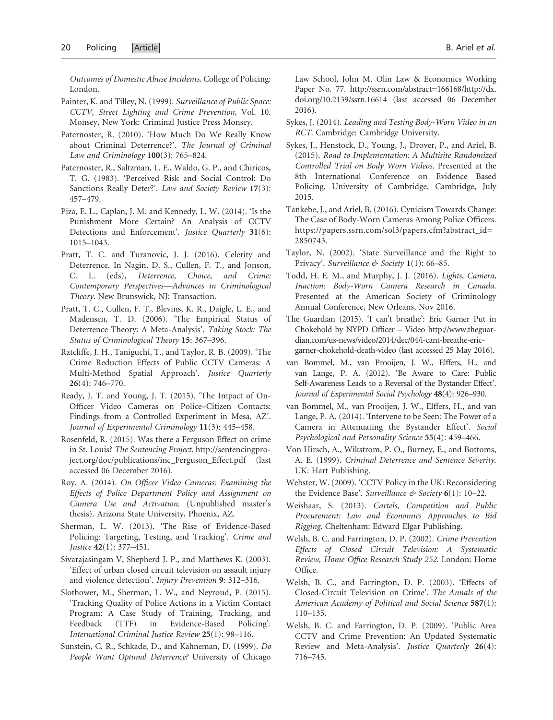<span id="page-19-0"></span>Outcomes of Domestic Abuse Incidents. College of Policing: London.

- Painter, K. and Tilley, N. (1999). Surveillance of Public Space: CCTV, Street Lighting and Crime Prevention, Vol. 10. Monsey, New York: Criminal Justice Press Monsey.
- Paternoster, R. (2010). 'How Much Do We Really Know about Criminal Deterrence?'. The Journal of Criminal Law and Criminology 100(3): 765–824.
- Paternoster, R., Saltzman, L. E., Waldo, G. P., and Chiricos, T. G. (1983). 'Perceived Risk and Social Control: Do Sanctions Really Deter?'. Law and Society Review 17(3): 457–479.
- Piza, E. L., Caplan, J. M. and Kennedy, L. W. (2014). 'Is the Punishment More Certain? An Analysis of CCTV Detections and Enforcement'. Justice Quarterly 31(6): 1015–1043.
- Pratt, T. C. and Turanovic, J. J. (2016). Celerity and Deterrence. In Nagin, D. S., Cullen, F. T., and Jonson, C. L. (eds), Deterrence, Choice, and Crime: Contemporary Perspectives—Advances in Criminological Theory. New Brunswick, NJ: Transaction.
- Pratt, T. C., Cullen, F. T., Blevins, K. R., Daigle, L. E., and Madensen, T. D. (2006). 'The Empirical Status of Deterrence Theory: A Meta-Analysis'. Taking Stock: The Status of Criminological Theory 15: 367–396.
- Ratcliffe, J. H., Taniguchi, T., and Taylor, R. B. (2009). 'The Crime Reduction Effects of Public CCTV Cameras: A Multi-Method Spatial Approach'. Justice Quarterly 26(4): 746–770.
- Ready, J. T. and Young, J. T. (2015). 'The Impact of On-Officer Video Cameras on Police–Citizen Contacts: Findings from a Controlled Experiment in Mesa, AZ'. Journal of Experimental Criminology 11(3): 445–458.
- Rosenfeld, R. (2015). Was there a Ferguson Effect on crime in St. Louis? The Sentencing Project. [http://sentencingpro](http://sentencingproject.org/doc/publications/inc_Ferguson_Effect.pdf)[ject.org/doc/publications/inc\\_Ferguson\\_Effect.pdf](http://sentencingproject.org/doc/publications/inc_Ferguson_Effect.pdf) (last accessed 06 December 2016).
- Roy, A. (2014). On Officer Video Cameras: Examining the Effects of Police Department Policy and Assignment on Camera Use and Activation. (Unpublished master's thesis). Arizona State University, Phoenix, AZ.
- Sherman, L. W. (2013). 'The Rise of Evidence-Based Policing: Targeting, Testing, and Tracking'. Crime and Justice 42(1): 377–451.
- Sivarajasingam V, Shepherd J. P., and Matthews K. (2003). 'Effect of urban closed circuit television on assault injury and violence detection'. Injury Prevention 9: 312–316.
- Slothower, M., Sherman, L. W., and Neyroud, P. (2015). 'Tracking Quality of Police Actions in a Victim Contact Program: A Case Study of Training, Tracking, and Feedback (TTF) in Evidence-Based Policing'. International Criminal Justice Review 25(1): 98–116.
- Sunstein, C. R., Schkade, D., and Kahneman, D. (1999). Do People Want Optimal Deterrence? University of Chicago

Law School, John M. Olin Law & Economics Working Paper No. 77. [http://ssrn.com/abstract=166168/http://dx.](http://dx.doi.org/10.2139/ssrn.16614) [doi.org/10.2139/ssrn.16614](http://dx.doi.org/10.2139/ssrn.16614) (last accessed 06 December 2016).

- Sykes, J. (2014). Leading and Testing Body-Worn Video in an RCT. Cambridge: Cambridge University.
- Sykes, J., Henstock, D., Young, J., Drover, P., and Ariel, B. (2015). Road to Implementation: A Multisite Randomized Controlled Trial on Body Worn Videos. Presented at the 8th International Conference on Evidence Based Policing, University of Cambridge, Cambridge, July 2015.
- Tankebe, J., and Ariel, B. (2016). Cynicism Towards Change: The Case of Body-Worn Cameras Among Police Officers. [https://papers.ssrn.com/sol3/papers.cfm?abstract\\_id=](https://papers.ssrn.com/sol3/papers.cfm?abstract_id=2850743) [2850743.](https://papers.ssrn.com/sol3/papers.cfm?abstract_id=2850743)
- Taylor, N. (2002). 'State Surveillance and the Right to Privacy'. Surveillance & Society 1(1): 66-85.
- Todd, H. E. M., and Murphy, J. J. (2016). Lights, Camera, Inaction: Body-Worn Camera Research in Canada. Presented at the American Society of Criminology Annual Conference, New Orleans, Nov 2016.
- The Guardian (2015). 'I can't breathe': Eric Garner Put in Chokehold by NYPD Officer – Video [http://www.theguar](http://www.theguardian.com/us-news/video/2014/dec/04/i-cant-breathe-eric-garner-chokehold-death-video)[dian.com/us-news/video/2014/dec/04/i-cant-breathe-eric](http://www.theguardian.com/us-news/video/2014/dec/04/i-cant-breathe-eric-garner-chokehold-death-video)[garner-chokehold-death-video](http://www.theguardian.com/us-news/video/2014/dec/04/i-cant-breathe-eric-garner-chokehold-death-video) (last accessed 25 May 2016).
- van Bommel, M., van Prooijen, J. W., Elffers, H., and van Lange, P. A. (2012). 'Be Aware to Care: Public Self-Awareness Leads to a Reversal of the Bystander Effect'. Journal of Experimental Social Psychology 48(4): 926–930.
- van Bommel, M., van Prooijen, J. W., Elffers, H., and van Lange, P. A. (2014). 'Intervene to be Seen: The Power of a Camera in Attenuating the Bystander Effect'. Social Psychological and Personality Science 55(4): 459–466.
- Von Hirsch, A., Wikstrom, P. O., Burney, E., and Bottoms, A. E. (1999). Criminal Deterrence and Sentence Severity. UK: Hart Publishing.
- Webster, W. (2009). 'CCTV Policy in the UK: Reconsidering the Evidence Base'. Surveillance  $\&$  Society 6(1): 10–22.
- Weishaar, S. (2013). Cartels, Competition and Public Procurement: Law and Economics Approaches to Bid Rigging. Cheltenham: Edward Elgar Publishing.
- Welsh, B. C. and Farrington, D. P. (2002). Crime Prevention Effects of Closed Circuit Television: A Systematic Review, Home Office Research Study 252. London: Home Office.
- Welsh, B. C., and Farrington, D. P. (2003). 'Effects of Closed-Circuit Television on Crime'. The Annals of the American Academy of Political and Social Science 587(1): 110–135.
- Welsh, B. C. and Farrington, D. P. (2009). 'Public Area CCTV and Crime Prevention: An Updated Systematic Review and Meta-Analysis'. Justice Quarterly 26(4): 716–745.